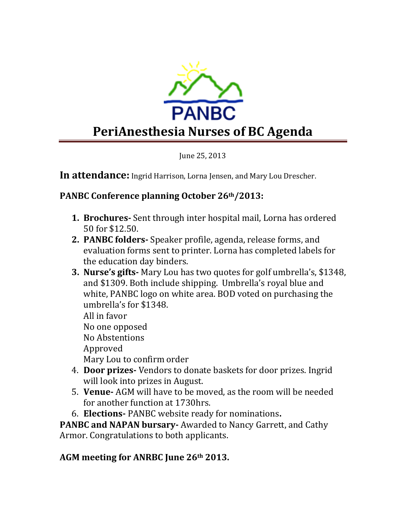

June 25, 2013

**In attendance:** Ingrid Harrison, Lorna Jensen, and Mary Lou Drescher.

## **PANBC Conference planning October 26th/2013:**

- **1. Brochures-** Sent through inter hospital mail, Lorna has ordered 50 for \$12.50.
- **2. PANBC folders-** Speaker profile, agenda, release forms, and evaluation forms sent to printer. Lorna has completed labels for the education day binders.
- **3. Nurse's gifts-** Mary Lou has two quotes for golf umbrella's, \$1348, and \$1309. Both include shipping. Umbrella's royal blue and white, PANBC logo on white area. BOD voted on purchasing the umbrella's for \$1348.

All in favor No one opposed No Abstentions Approved

Mary Lou to confirm order

- 4. **Door prizes-** Vendors to donate baskets for door prizes. Ingrid will look into prizes in August.
- 5. **Venue-** AGM will have to be moved, as the room will be needed for another function at 1730hrs.
- 6. **Elections-** PANBC website ready for nominations**.**

**PANBC and NAPAN bursary-** Awarded to Nancy Garrett, and Cathy Armor. Congratulations to both applicants.

## **AGM meeting for ANRBC June 26th 2013.**